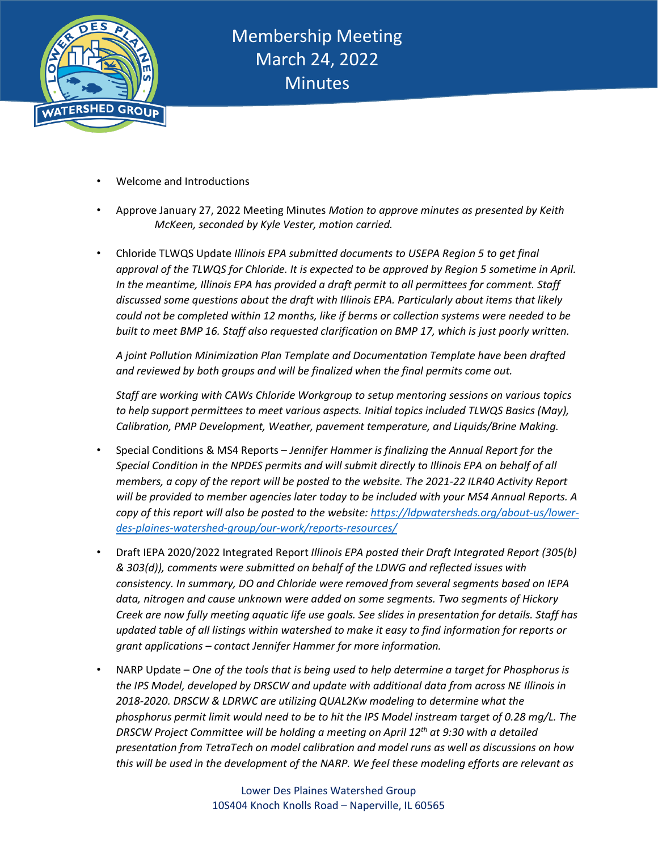

- Welcome and Introductions
- Approve January 27, 2022 Meeting Minutes *Motion to approve minutes as presented by Keith McKeen, seconded by Kyle Vester, motion carried.*
- Chloride TLWQS Update *Illinois EPA submitted documents to USEPA Region 5 to get final approval of the TLWQS for Chloride. It is expected to be approved by Region 5 sometime in April. In the meantime, Illinois EPA has provided a draft permit to all permittees for comment. Staff discussed some questions about the draft with Illinois EPA. Particularly about items that likely could not be completed within 12 months, like if berms or collection systems were needed to be built to meet BMP 16. Staff also requested clarification on BMP 17, which is just poorly written.*

*A joint Pollution Minimization Plan Template and Documentation Template have been drafted and reviewed by both groups and will be finalized when the final permits come out.*

*Staff are working with CAWs Chloride Workgroup to setup mentoring sessions on various topics to help support permittees to meet various aspects. Initial topics included TLWQS Basics (May), Calibration, PMP Development, Weather, pavement temperature, and Liquids/Brine Making.*

- Special Conditions & MS4 Reports *Jennifer Hammer is finalizing the Annual Report for the Special Condition in the NPDES permits and will submit directly to Illinois EPA on behalf of all members, a copy of the report will be posted to the website. The 2021-22 ILR40 Activity Report will be provided to member agencies later today to be included with your MS4 Annual Reports. A copy of this report will also be posted to the website: [https://ldpwatersheds.org/about-us/lower](https://ldpwatersheds.org/about-us/lower-des-plaines-watershed-group/our-work/reports-resources/)[des-plaines-watershed-group/our-work/reports-resources/](https://ldpwatersheds.org/about-us/lower-des-plaines-watershed-group/our-work/reports-resources/)*
- Draft IEPA 2020/2022 Integrated Report *Illinois EPA posted their Draft Integrated Report (305(b) & 303(d)), comments were submitted on behalf of the LDWG and reflected issues with consistency. In summary, DO and Chloride were removed from several segments based on IEPA data, nitrogen and cause unknown were added on some segments. Two segments of Hickory Creek are now fully meeting aquatic life use goals. See slides in presentation for details. Staff has updated table of all listings within watershed to make it easy to find information for reports or grant applications – contact Jennifer Hammer for more information.*
- NARP Update *One of the tools that is being used to help determine a target for Phosphorus is the IPS Model, developed by DRSCW and update with additional data from across NE Illinois in 2018-2020. DRSCW & LDRWC are utilizing QUAL2Kw modeling to determine what the phosphorus permit limit would need to be to hit the IPS Model instream target of 0.28 mg/L. The DRSCW Project Committee will be holding a meeting on April 12th at 9:30 with a detailed presentation from TetraTech on model calibration and model runs as well as discussions on how this will be used in the development of the NARP. We feel these modeling efforts are relevant as*